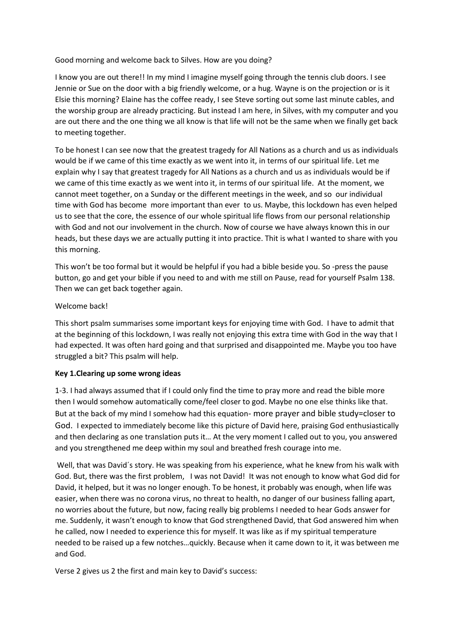Good morning and welcome back to Silves. How are you doing?

I know you are out there!! In my mind I imagine myself going through the tennis club doors. I see Jennie or Sue on the door with a big friendly welcome, or a hug. Wayne is on the projection or is it Elsie this morning? Elaine has the coffee ready, I see Steve sorting out some last minute cables, and the worship group are already practicing. But instead I am here, in Silves, with my computer and you are out there and the one thing we all know is that life will not be the same when we finally get back to meeting together.

To be honest I can see now that the greatest tragedy for All Nations as a church and us as individuals would be if we came of this time exactly as we went into it, in terms of our spiritual life. Let me explain why I say that greatest tragedy for All Nations as a church and us as individuals would be if we came of this time exactly as we went into it, in terms of our spiritual life. At the moment, we cannot meet together, on a Sunday or the different meetings in the week, and so our individual time with God has become more important than ever to us. Maybe, this lockdown has even helped us to see that the core, the essence of our whole spiritual life flows from our personal relationship with God and not our involvement in the church. Now of course we have always known this in our heads, but these days we are actually putting it into practice. Thit is what I wanted to share with you this morning.

This won't be too formal but it would be helpful if you had a bible beside you. So -press the pause button, go and get your bible if you need to and with me still on Pause, read for yourself Psalm 138. Then we can get back together again.

## Welcome back!

This short psalm summarises some important keys for enjoying time with God. I have to admit that at the beginning of this lockdown, I was really not enjoying this extra time with God in the way that I had expected. It was often hard going and that surprised and disappointed me. Maybe you too have struggled a bit? This psalm will help.

## **Key 1.Clearing up some wrong ideas**

1-3. I had always assumed that if I could only find the time to pray more and read the bible more then I would somehow automatically come/feel closer to god. Maybe no one else thinks like that. But at the back of my mind I somehow had this equation- more prayer and bible study=closer to God. I expected to immediately become like this picture of David here, praising God enthusiastically and then declaring as one translation puts it… At the very moment I called out to you, you answered and you strengthened me deep within my soul and breathed fresh courage into me.

Well, that was David´s story. He was speaking from his experience, what he knew from his walk with God. But, there was the first problem, I was not David! It was not enough to know what God did for David, it helped, but it was no longer enough. To be honest, it probably was enough, when life was easier, when there was no corona virus, no threat to health, no danger of our business falling apart, no worries about the future, but now, facing really big problems I needed to hear Gods answer for me. Suddenly, it wasn't enough to know that God strengthened David, that God answered him when he called, now I needed to experience this for myself. It was like as if my spiritual temperature needed to be raised up a few notches…quickly. Because when it came down to it, it was between me and God.

Verse 2 gives us 2 the first and main key to David's success: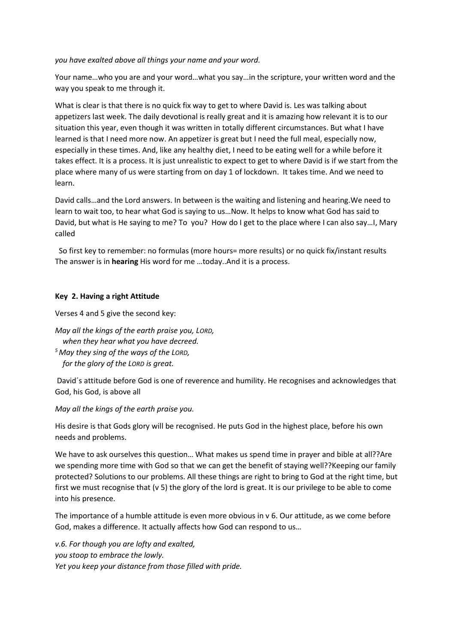*you have exalted above all things your name and your word.* 

Your name…who you are and your word…what you say…in the scripture, your written word and the way you speak to me through it.

What is clear is that there is no quick fix way to get to where David is. Les was talking about appetizers last week. The daily devotional is really great and it is amazing how relevant it is to our situation this year, even though it was written in totally different circumstances. But what I have learned is that I need more now. An appetizer is great but I need the full meal, especially now, especially in these times. And, like any healthy diet, I need to be eating well for a while before it takes effect. It is a process. It is just unrealistic to expect to get to where David is if we start from the place where many of us were starting from on day 1 of lockdown. It takes time. And we need to learn.

David calls…and the Lord answers. In between is the waiting and listening and hearing.We need to learn to wait too, to hear what God is saying to us…Now. It helps to know what God has said to David, but what is He saying to me? To you? How do I get to the place where I can also say…I, Mary called

 So first key to remember: no formulas (more hours= more results) or no quick fix/instant results The answer is in **hearing** His word for me …today..And it is a process.

## **Key 2. Having a right Attitude**

Verses 4 and 5 give the second key:

*May all the kings of the earth praise you, LORD, when they hear what you have decreed. <sup>5</sup>May they sing of the ways of the LORD, for the glory of the LORD is great.*

David´s attitude before God is one of reverence and humility. He recognises and acknowledges that God, his God, is above all

*May all the kings of the earth praise you.* 

His desire is that Gods glory will be recognised. He puts God in the highest place, before his own needs and problems.

We have to ask ourselves this question… What makes us spend time in prayer and bible at all??Are we spending more time with God so that we can get the benefit of staying well??Keeping our family protected? Solutions to our problems. All these things are right to bring to God at the right time, but first we must recognise that (v 5) the glory of the lord is great. It is our privilege to be able to come into his presence.

The importance of a humble attitude is even more obvious in v 6. Our attitude, as we come before God, makes a difference. It actually affects how God can respond to us…

*v.6. For though you are lofty and exalted, you stoop to embrace the lowly. Yet you keep your distance from those filled with pride.*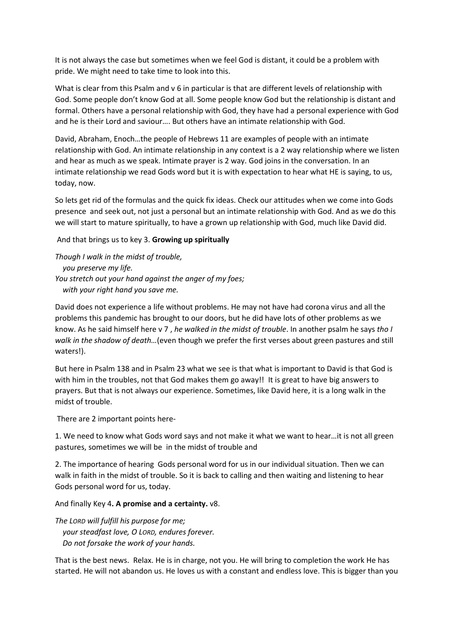It is not always the case but sometimes when we feel God is distant, it could be a problem with pride. We might need to take time to look into this.

What is clear from this Psalm and v 6 in particular is that are different levels of relationship with God. Some people don't know God at all. Some people know God but the relationship is distant and formal. Others have a personal relationship with God, they have had a personal experience with God and he is their Lord and saviour…. But others have an intimate relationship with God.

David, Abraham, Enoch…the people of Hebrews 11 are examples of people with an intimate relationship with God. An intimate relationship in any context is a 2 way relationship where we listen and hear as much as we speak. Intimate prayer is 2 way. God joins in the conversation. In an intimate relationship we read Gods word but it is with expectation to hear what HE is saying, to us, today, now.

So lets get rid of the formulas and the quick fix ideas. Check our attitudes when we come into Gods presence and seek out, not just a personal but an intimate relationship with God. And as we do this we will start to mature spiritually, to have a grown up relationship with God, much like David did.

And that brings us to key 3. **Growing up spiritually**

*Though I walk in the midst of trouble, you preserve my life. You stretch out your hand against the anger of my foes; with your right hand you save me.*

David does not experience a life without problems. He may not have had corona virus and all the problems this pandemic has brought to our doors, but he did have lots of other problems as we know. As he said himself here v 7 , *he walked in the midst of trouble*. In another psalm he says *tho I walk in the shadow of death…*(even though we prefer the first verses about green pastures and still waters!).

But here in Psalm 138 and in Psalm 23 what we see is that what is important to David is that God is with him in the troubles, not that God makes them go away!! It is great to have big answers to prayers. But that is not always our experience. Sometimes, like David here, it is a long walk in the midst of trouble.

There are 2 important points here-

1. We need to know what Gods word says and not make it what we want to hear…it is not all green pastures, sometimes we will be in the midst of trouble and

2. The importance of hearing Gods personal word for us in our individual situation. Then we can walk in faith in the midst of trouble. So it is back to calling and then waiting and listening to hear Gods personal word for us, today.

And finally Key 4**. A promise and a certainty.** v8.

*The LORD will fulfill his purpose for me; your steadfast love, O LORD, endures forever. Do not forsake the work of your hands.*

That is the best news. Relax. He is in charge, not you. He will bring to completion the work He has started. He will not abandon us. He loves us with a constant and endless love. This is bigger than you